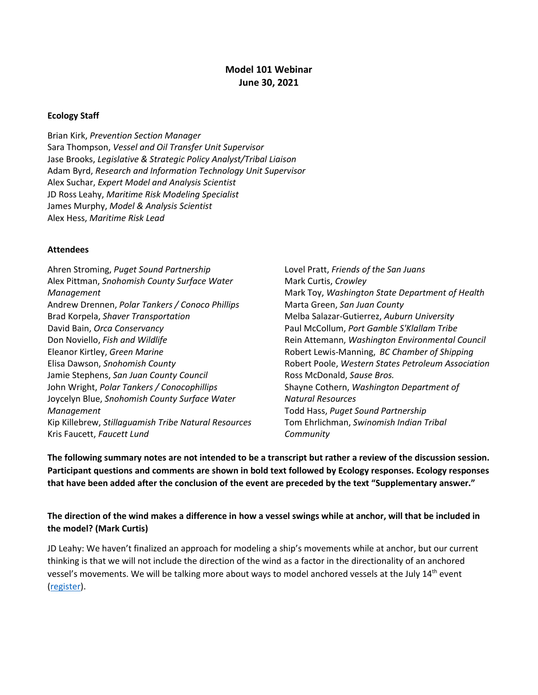## **Model 101 Webinar June 30, 2021**

#### **Ecology Staff**

Brian Kirk, *Prevention Section Manager* Sara Thompson, *Vessel and Oil Transfer Unit Supervisor* Jase Brooks, *Legislative & Strategic Policy Analyst/Tribal Liaison* Adam Byrd, *Research and Information Technology Unit Supervisor* Alex Suchar, *Expert Model and Analysis Scientist* JD Ross Leahy, *Maritime Risk Modeling Specialist* James Murphy, *Model & Analysis Scientist* Alex Hess, *Maritime Risk Lead*

#### **Attendees**

Ahren Stroming, *Puget Sound Partnership* Alex Pittman, *Snohomish County Surface Water Management* Andrew Drennen, *Polar Tankers / Conoco Phillips* Brad Korpela, *Shaver Transportation* David Bain, *Orca Conservancy* Don Noviello, *Fish and Wildlife* Eleanor Kirtley, *Green Marine* Elisa Dawson, *Snohomish County* Jamie Stephens, *San Juan County Council* John Wright, *Polar Tankers / Conocophillips* Joycelyn Blue, *Snohomish County Surface Water Management* Kip Killebrew, *Stillaguamish Tribe Natural Resources* Kris Faucett, *Faucett Lund*

Lovel Pratt, *Friends of the San Juans* Mark Curtis, *Crowley* Mark Toy, *Washington State Department of Health* Marta Green, *San Juan County* Melba Salazar-Gutierrez, *Auburn University* Paul McCollum, *Port Gamble S'Klallam Tribe* Rein Attemann, *Washington Environmental Council* Robert Lewis-Manning, *BC Chamber of Shipping* Robert Poole, *Western States Petroleum Association* Ross McDonald, *Sause Bros.* Shayne Cothern, *Washington Department of Natural Resources* Todd Hass, *Puget Sound Partnership* Tom Ehrlichman, *Swinomish Indian Tribal Community*

**The following summary notes are not intended to be a transcript but rather a review of the discussion session. Participant questions and comments are shown in bold text followed by Ecology responses. Ecology responses that have been added after the conclusion of the event are preceded by the text "Supplementary answer."**

**The direction of the wind makes a difference in how a vessel swings while at anchor, will that be included in the model? (Mark Curtis)**

JD Leahy: We haven't finalized an approach for modeling a ship's movements while at anchor, but our current thinking is that we will not include the direction of the wind as a factor in the directionality of an anchored vessel's movements. We will be talking more about ways to model anchored vessels at the July 14<sup>th</sup> event [\(register\)](https://register.gotowebinar.com/register/8574659492469399056).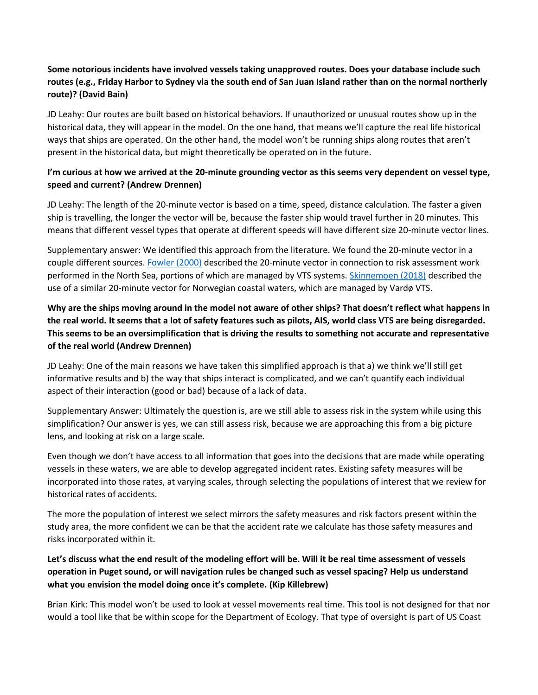# **Some notorious incidents have involved vessels taking unapproved routes. Does your database include such routes (e.g., Friday Harbor to Sydney via the south end of San Juan Island rather than on the normal northerly route)? (David Bain)**

JD Leahy: Our routes are built based on historical behaviors. If unauthorized or unusual routes show up in the historical data, they will appear in the model. On the one hand, that means we'll capture the real life historical ways that ships are operated. On the other hand, the model won't be running ships along routes that aren't present in the historical data, but might theoretically be operated on in the future.

## **I'm curious at how we arrived at the 20-minute grounding vector as this seems very dependent on vessel type, speed and current? (Andrew Drennen)**

JD Leahy: The length of the 20-minute vector is based on a time, speed, distance calculation. The faster a given ship is travelling, the longer the vector will be, because the faster ship would travel further in 20 minutes. This means that different vessel types that operate at different speeds will have different size 20-minute vector lines.

Supplementary answer: We identified this approach from the literature. We found the 20-minute vector in a couple different sources[. Fowler \(2000\)](https://onlinelibrary.wiley.com/doi/abs/10.1111/0272-4332.202022) described the 20-minute vector in connection to risk assessment work performed in the North Sea, portions of which are managed by VTS systems. [Skinnemoen \(2018\)](https://portal.helcom.fi/meetings/OPENRISK%20WS%203-2018-527/MeetingDocuments/Presentation%208.pdf) described the use of a similar 20-minute vector for Norwegian coastal waters, which are managed by Vardø VTS.

**Why are the ships moving around in the model not aware of other ships? That doesn't reflect what happens in the real world. It seems that a lot of safety features such as pilots, AIS, world class VTS are being disregarded. This seems to be an oversimplification that is driving the results to something not accurate and representative of the real world (Andrew Drennen)**

JD Leahy: One of the main reasons we have taken this simplified approach is that a) we think we'll still get informative results and b) the way that ships interact is complicated, and we can't quantify each individual aspect of their interaction (good or bad) because of a lack of data.

Supplementary Answer: Ultimately the question is, are we still able to assess risk in the system while using this simplification? Our answer is yes, we can still assess risk, because we are approaching this from a big picture lens, and looking at risk on a large scale.

Even though we don't have access to all information that goes into the decisions that are made while operating vessels in these waters, we are able to develop aggregated incident rates. Existing safety measures will be incorporated into those rates, at varying scales, through selecting the populations of interest that we review for historical rates of accidents.

The more the population of interest we select mirrors the safety measures and risk factors present within the study area, the more confident we can be that the accident rate we calculate has those safety measures and risks incorporated within it.

# **Let's discuss what the end result of the modeling effort will be. Will it be real time assessment of vessels operation in Puget sound, or will navigation rules be changed such as vessel spacing? Help us understand what you envision the model doing once it's complete. (Kip Killebrew)**

Brian Kirk: This model won't be used to look at vessel movements real time. This tool is not designed for that nor would a tool like that be within scope for the Department of Ecology. That type of oversight is part of US Coast